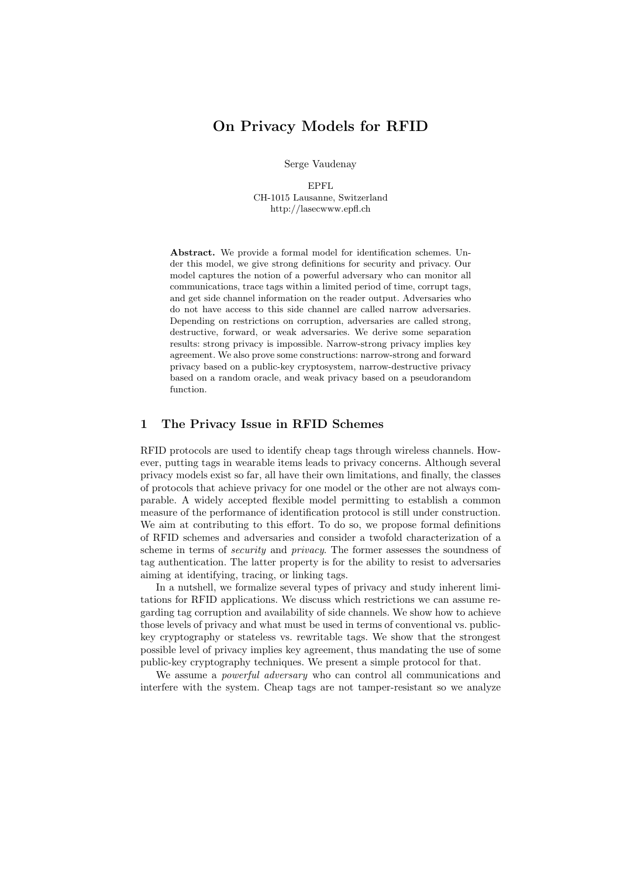# On Privacy Models for RFID

Serge Vaudenay

EPFL CH-1015 Lausanne, Switzerland http://lasecwww.epfl.ch

Abstract. We provide a formal model for identification schemes. Under this model, we give strong definitions for security and privacy. Our model captures the notion of a powerful adversary who can monitor all communications, trace tags within a limited period of time, corrupt tags, and get side channel information on the reader output. Adversaries who do not have access to this side channel are called narrow adversaries. Depending on restrictions on corruption, adversaries are called strong, destructive, forward, or weak adversaries. We derive some separation results: strong privacy is impossible. Narrow-strong privacy implies key agreement. We also prove some constructions: narrow-strong and forward privacy based on a public-key cryptosystem, narrow-destructive privacy based on a random oracle, and weak privacy based on a pseudorandom function.

### 1 The Privacy Issue in RFID Schemes

RFID protocols are used to identify cheap tags through wireless channels. However, putting tags in wearable items leads to privacy concerns. Although several privacy models exist so far, all have their own limitations, and finally, the classes of protocols that achieve privacy for one model or the other are not always comparable. A widely accepted flexible model permitting to establish a common measure of the performance of identification protocol is still under construction. We aim at contributing to this effort. To do so, we propose formal definitions of RFID schemes and adversaries and consider a twofold characterization of a scheme in terms of *security* and *privacy*. The former assesses the soundness of tag authentication. The latter property is for the ability to resist to adversaries aiming at identifying, tracing, or linking tags.

In a nutshell, we formalize several types of privacy and study inherent limitations for RFID applications. We discuss which restrictions we can assume regarding tag corruption and availability of side channels. We show how to achieve those levels of privacy and what must be used in terms of conventional vs. publickey cryptography or stateless vs. rewritable tags. We show that the strongest possible level of privacy implies key agreement, thus mandating the use of some public-key cryptography techniques. We present a simple protocol for that.

We assume a *powerful adversary* who can control all communications and interfere with the system. Cheap tags are not tamper-resistant so we analyze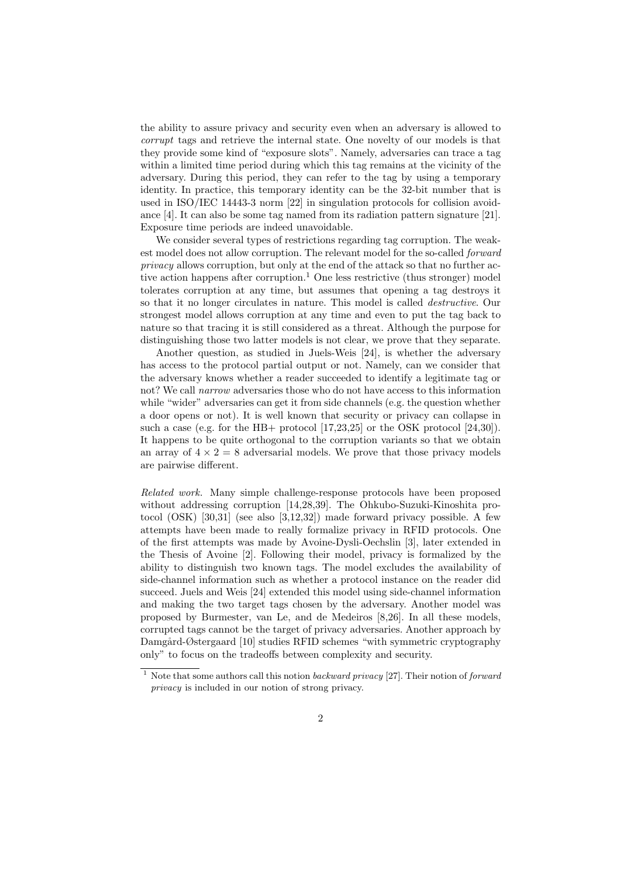the ability to assure privacy and security even when an adversary is allowed to corrupt tags and retrieve the internal state. One novelty of our models is that they provide some kind of "exposure slots". Namely, adversaries can trace a tag within a limited time period during which this tag remains at the vicinity of the adversary. During this period, they can refer to the tag by using a temporary identity. In practice, this temporary identity can be the 32-bit number that is used in ISO/IEC 14443-3 norm [22] in singulation protocols for collision avoidance [4]. It can also be some tag named from its radiation pattern signature [21]. Exposure time periods are indeed unavoidable.

We consider several types of restrictions regarding tag corruption. The weakest model does not allow corruption. The relevant model for the so-called forward privacy allows corruption, but only at the end of the attack so that no further active action happens after corruption.<sup>1</sup> One less restrictive (thus stronger) model tolerates corruption at any time, but assumes that opening a tag destroys it so that it no longer circulates in nature. This model is called *destructive*. Our strongest model allows corruption at any time and even to put the tag back to nature so that tracing it is still considered as a threat. Although the purpose for distinguishing those two latter models is not clear, we prove that they separate.

Another question, as studied in Juels-Weis [24], is whether the adversary has access to the protocol partial output or not. Namely, can we consider that the adversary knows whether a reader succeeded to identify a legitimate tag or not? We call narrow adversaries those who do not have access to this information while "wider" adversaries can get it from side channels (e.g. the question whether a door opens or not). It is well known that security or privacy can collapse in such a case (e.g. for the HB+ protocol  $[17,23,25]$  or the OSK protocol  $[24,30]$ ). It happens to be quite orthogonal to the corruption variants so that we obtain an array of  $4 \times 2 = 8$  adversarial models. We prove that those privacy models are pairwise different.

Related work. Many simple challenge-response protocols have been proposed without addressing corruption [14,28,39]. The Ohkubo-Suzuki-Kinoshita protocol (OSK) [30,31] (see also [3,12,32]) made forward privacy possible. A few attempts have been made to really formalize privacy in RFID protocols. One of the first attempts was made by Avoine-Dysli-Oechslin [3], later extended in the Thesis of Avoine [2]. Following their model, privacy is formalized by the ability to distinguish two known tags. The model excludes the availability of side-channel information such as whether a protocol instance on the reader did succeed. Juels and Weis [24] extended this model using side-channel information and making the two target tags chosen by the adversary. Another model was proposed by Burmester, van Le, and de Medeiros [8,26]. In all these models, corrupted tags cannot be the target of privacy adversaries. Another approach by Damgård-Østergaard [10] studies RFID schemes "with symmetric cryptography only" to focus on the tradeoffs between complexity and security.

<sup>&</sup>lt;sup>1</sup> Note that some authors call this notion *backward privacy* [27]. Their notion of *forward* privacy is included in our notion of strong privacy.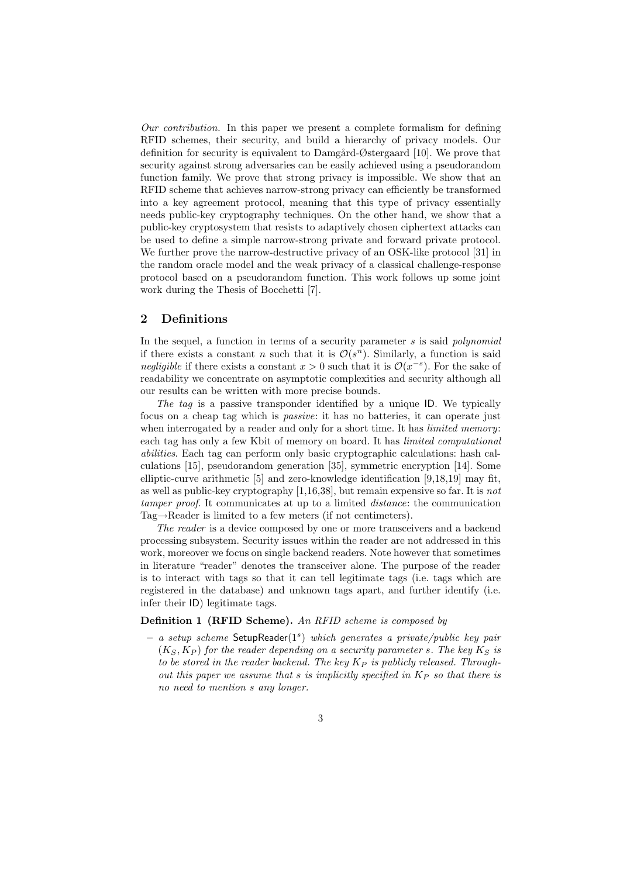Our contribution. In this paper we present a complete formalism for defining RFID schemes, their security, and build a hierarchy of privacy models. Our definition for security is equivalent to Damgård-Østergaard  $[10]$ . We prove that security against strong adversaries can be easily achieved using a pseudorandom function family. We prove that strong privacy is impossible. We show that an RFID scheme that achieves narrow-strong privacy can efficiently be transformed into a key agreement protocol, meaning that this type of privacy essentially needs public-key cryptography techniques. On the other hand, we show that a public-key cryptosystem that resists to adaptively chosen ciphertext attacks can be used to define a simple narrow-strong private and forward private protocol. We further prove the narrow-destructive privacy of an OSK-like protocol [31] in the random oracle model and the weak privacy of a classical challenge-response protocol based on a pseudorandom function. This work follows up some joint work during the Thesis of Bocchetti [7].

### 2 Definitions

In the sequel, a function in terms of a security parameter s is said *polynomial* if there exists a constant n such that it is  $\mathcal{O}(s^n)$ . Similarly, a function is said negligible if there exists a constant  $x > 0$  such that it is  $\mathcal{O}(x^{-s})$ . For the sake of readability we concentrate on asymptotic complexities and security although all our results can be written with more precise bounds.

The tag is a passive transponder identified by a unique ID. We typically focus on a cheap tag which is passive: it has no batteries, it can operate just when interrogated by a reader and only for a short time. It has *limited memory*: each tag has only a few Kbit of memory on board. It has limited computational abilities. Each tag can perform only basic cryptographic calculations: hash calculations [15], pseudorandom generation [35], symmetric encryption [14]. Some elliptic-curve arithmetic [5] and zero-knowledge identification [9,18,19] may fit, as well as public-key cryptography [1,16,38], but remain expensive so far. It is not tamper proof. It communicates at up to a limited *distance*: the communication Tag→Reader is limited to a few meters (if not centimeters).

The reader is a device composed by one or more transceivers and a backend processing subsystem. Security issues within the reader are not addressed in this work, moreover we focus on single backend readers. Note however that sometimes in literature "reader" denotes the transceiver alone. The purpose of the reader is to interact with tags so that it can tell legitimate tags (i.e. tags which are registered in the database) and unknown tags apart, and further identify (i.e. infer their ID) legitimate tags.

### Definition 1 (RFID Scheme). An RFID scheme is composed by

 $-$  a setup scheme SetupReader(1<sup>s</sup>) which generates a private/public key pair  $(K_S, K_P)$  for the reader depending on a security parameter s. The key  $K_S$  is to be stored in the reader backend. The key  $K_P$  is publicly released. Throughout this paper we assume that s is implicitly specified in  $K_P$  so that there is no need to mention s any longer.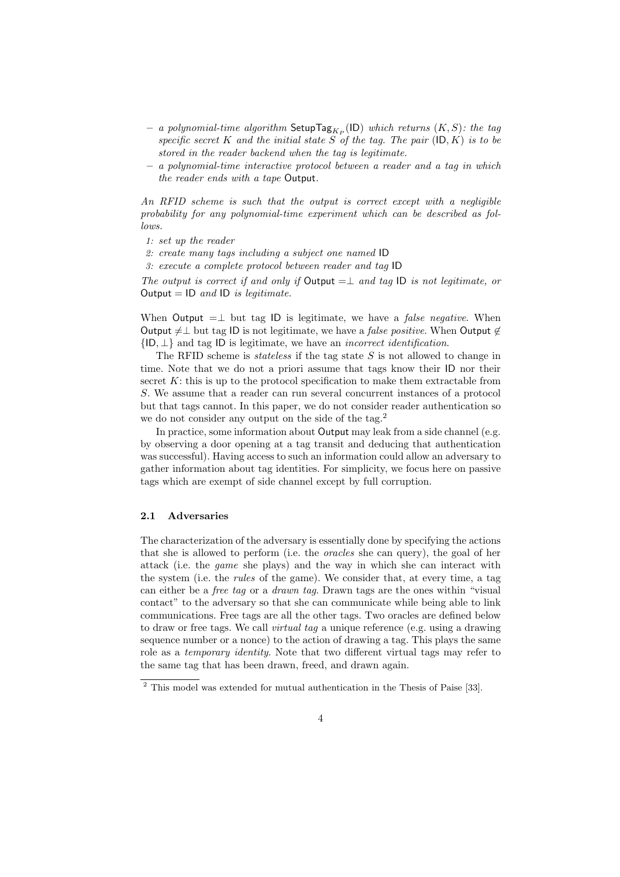- $-$  a polynomial-time algorithm  ${\sf SetupTag}_{K_P}({\sf ID})$  which returns  $(K,S){\colon}$  the tag specific secret K and the initial state S of the tag. The pair  $(\mathsf{ID}, K)$  is to be stored in the reader backend when the tag is legitimate.
- a polynomial-time interactive protocol between a reader and a tag in which the reader ends with a tape Output.

An RFID scheme is such that the output is correct except with a negligible probability for any polynomial-time experiment which can be described as follows.

- 1: set up the reader
- 2: create many tags including a subject one named ID
- 3: execute a complete protocol between reader and tag ID

The output is correct if and only if Output  $=$   $\perp$  and tag ID is not legitimate, or Output  $=$  ID and ID is legitimate.

When Output  $=\perp$  but tag ID is legitimate, we have a *false negative*. When Output  $\neq \perp$  but tag ID is not legitimate, we have a *false positive*. When Output  $\notin$  $\{ID, \perp\}$  and tag ID is legitimate, we have an *incorrect identification*.

The RFID scheme is *stateless* if the tag state  $S$  is not allowed to change in time. Note that we do not a priori assume that tags know their ID nor their secret  $K$ : this is up to the protocol specification to make them extractable from S. We assume that a reader can run several concurrent instances of a protocol but that tags cannot. In this paper, we do not consider reader authentication so we do not consider any output on the side of the tag.<sup>2</sup>

In practice, some information about Output may leak from a side channel (e.g. by observing a door opening at a tag transit and deducing that authentication was successful). Having access to such an information could allow an adversary to gather information about tag identities. For simplicity, we focus here on passive tags which are exempt of side channel except by full corruption.

#### 2.1 Adversaries

The characterization of the adversary is essentially done by specifying the actions that she is allowed to perform (i.e. the oracles she can query), the goal of her attack (i.e. the game she plays) and the way in which she can interact with the system (i.e. the rules of the game). We consider that, at every time, a tag can either be a free tag or a drawn tag. Drawn tags are the ones within "visual contact" to the adversary so that she can communicate while being able to link communications. Free tags are all the other tags. Two oracles are defined below to draw or free tags. We call virtual tag a unique reference (e.g. using a drawing sequence number or a nonce) to the action of drawing a tag. This plays the same role as a *temporary identity*. Note that two different virtual tags may refer to the same tag that has been drawn, freed, and drawn again.

<sup>2</sup> This model was extended for mutual authentication in the Thesis of Paise [33].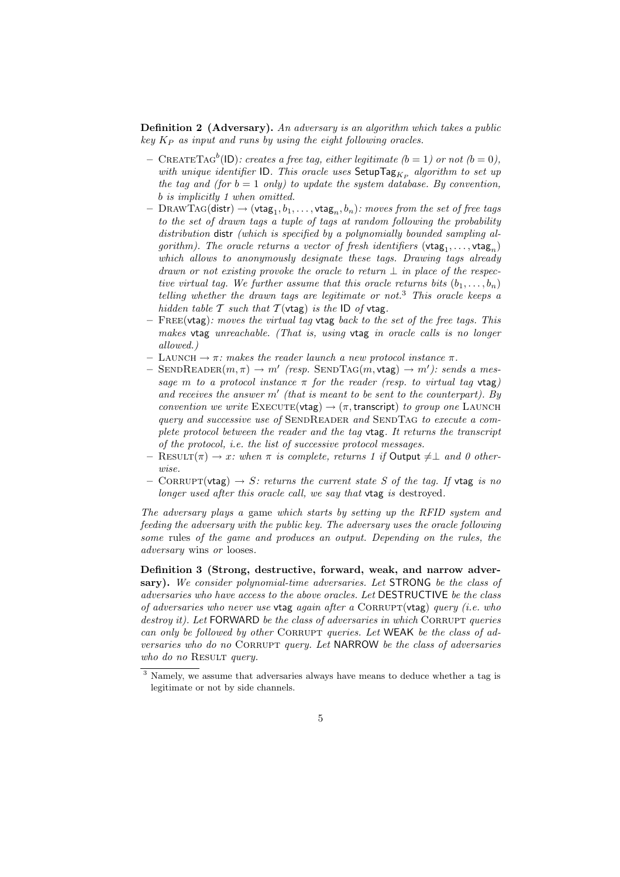**Definition 2 (Adversary).** An adversary is an algorithm which takes a public  $key K<sub>P</sub>$  as input and runs by using the eight following oracles.

- CREATETAG<sup>b</sup>(ID): creates a free tag, either legitimate (b = 1) or not (b = 0), with unique identifier ID. This oracle uses  $\mathsf{SetupTag}_{K_P}$  algorithm to set up the tag and (for  $b = 1$  only) to update the system database. By convention, b is implicitly 1 when omitted.
- $\text{DRAWTag}(\textsf{distr}) \rightarrow (\textsf{vtag}_1, b_1, \ldots, \textsf{vtag}_n, b_n)$ : moves from the set of free tags to the set of drawn tags a tuple of tags at random following the probability distribution distr (which is specified by a polynomially bounded sampling algorithm). The oracle returns a vector of fresh identifiers  $(\mathsf{vtag}_1, \ldots, \mathsf{vtag}_n)$ which allows to anonymously designate these tags. Drawing tags already drawn or not existing provoke the oracle to return  $\perp$  in place of the respective virtual tag. We further assume that this oracle returns bits  $(b_1, \ldots, b_n)$ telling whether the drawn tags are legitimate or not.<sup>3</sup> This oracle keeps a hidden table  $T$  such that  $T(\text{vtag})$  is the ID of vtag.
- $-$  FREE(vtag): moves the virtual tag vtag back to the set of the free tags. This makes vtag unreachable. (That is, using vtag in oracle calls is no longer allowed.)
- LAUNCH  $\rightarrow \pi$ : makes the reader launch a new protocol instance  $\pi$ .
- SENDREADER $(m, \pi) \rightarrow m'$  (resp. SENDTAG $(m, \text{vtag}) \rightarrow m'$ ): sends a message m to a protocol instance  $\pi$  for the reader (resp. to virtual tag vtag) and receives the answer  $m'$  (that is meant to be sent to the counterpart). By convention we write  $\text{EXECUTE}(vtag) \rightarrow (\pi, \text{transcript})$  to group one LAUNCH query and successive use of SENDREADER and SENDTAG to execute a complete protocol between the reader and the tag vtag. It returns the transcript of the protocol, i.e. the list of successive protocol messages.
- RESULT( $\pi$ )  $\rightarrow x$ : when  $\pi$  is complete, returns 1 if Output  $\neq \perp$  and 0 otherwise.
- $-$  CORRUPT(vtag)  $\rightarrow$  S: returns the current state S of the tag. If vtag is no longer used after this oracle call, we say that vtag is destroyed.

The adversary plays a game which starts by setting up the RFID system and feeding the adversary with the public key. The adversary uses the oracle following some rules of the game and produces an output. Depending on the rules, the adversary wins or looses.

Definition 3 (Strong, destructive, forward, weak, and narrow adversary). We consider polynomial-time adversaries. Let STRONG be the class of adversaries who have access to the above oracles. Let DESTRUCTIVE be the class of adversaries who never use vtag again after a  $CORRUPT(vtag)$  query (i.e. who  $destroy it$ ). Let FORWARD be the class of adversaries in which CORRUPT queries can only be followed by other CORRUPT queries. Let WEAK be the class of adversaries who do no CORRUPT query. Let NARROW be the class of adversaries who do no RESULT query.

 $3$  Namely, we assume that adversaries always have means to deduce whether a tag is legitimate or not by side channels.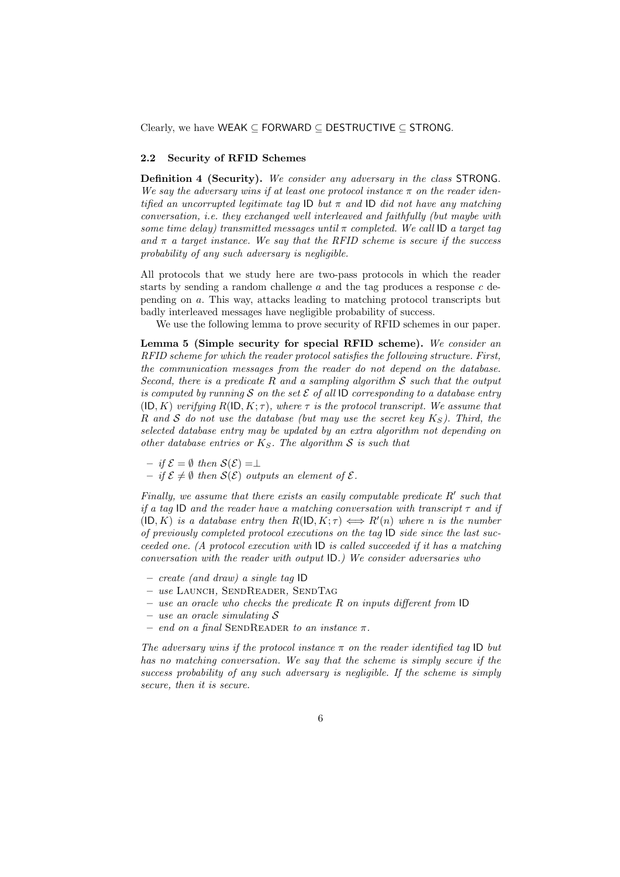Clearly, we have WEAK  $\subseteq$  FORWARD  $\subseteq$  DESTRUCTIVE  $\subseteq$  STRONG.

### 2.2 Security of RFID Schemes

Definition 4 (Security). We consider any adversary in the class STRONG. We say the adversary wins if at least one protocol instance  $\pi$  on the reader identified an uncorrupted legitimate tag ID but  $\pi$  and ID did not have any matching conversation, i.e. they exchanged well interleaved and faithfully (but maybe with some time delay) transmitted messages until  $\pi$  completed. We call ID a target tag and  $\pi$  a target instance. We say that the RFID scheme is secure if the success probability of any such adversary is negligible.

All protocols that we study here are two-pass protocols in which the reader starts by sending a random challenge  $a$  and the tag produces a response  $c$  depending on a. This way, attacks leading to matching protocol transcripts but badly interleaved messages have negligible probability of success.

We use the following lemma to prove security of RFID schemes in our paper.

Lemma 5 (Simple security for special RFID scheme). We consider an RFID scheme for which the reader protocol satisfies the following structure. First, the communication messages from the reader do not depend on the database. Second, there is a predicate  $R$  and a sampling algorithm  $S$  such that the output is computed by running S on the set  $\mathcal E$  of all ID corresponding to a database entry  $(1D, K)$  verifying  $R(1D, K; \tau)$ , where  $\tau$  is the protocol transcript. We assume that R and S do not use the database (but may use the secret key  $K_S$ ). Third, the selected database entry may be updated by an extra algorithm not depending on other database entries or  $K_S$ . The algorithm S is such that

$$
- if \mathcal{E} = \emptyset then S(\mathcal{E}) = \perp
$$

 $-$  if  $\mathcal{E} \neq \emptyset$  then  $\mathcal{S}(\mathcal{E})$  outputs an element of  $\mathcal{E}$ .

Finally, we assume that there exists an easily computable predicate  $R'$  such that if a tag ID and the reader have a matching conversation with transcript  $\tau$  and if  $(ID, K)$  is a database entry then  $R(ID, K; \tau) \iff R'(n)$  where n is the number of previously completed protocol executions on the tag ID side since the last succeeded one. (A protocol execution with ID is called succeeded if it has a matching conversation with the reader with output ID.) We consider adversaries who

- create (and draw) a single tag ID
- $-$  use LAUNCH, SENDREADER, SENDTAG
- use an oracle who checks the predicate  $R$  on inputs different from ID
- $-$  use an oracle simulating S
- end on a final SENDREADER to an instance  $\pi$ .

The adversary wins if the protocol instance  $\pi$  on the reader identified tag ID but has no matching conversation. We say that the scheme is simply secure if the success probability of any such adversary is negligible. If the scheme is simply secure, then it is secure.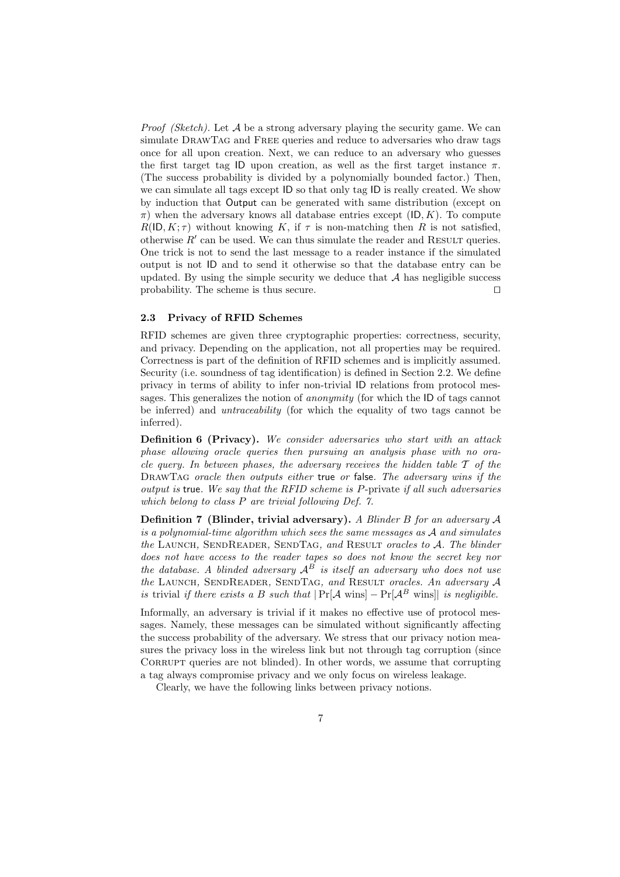*Proof (Sketch)*. Let  $A$  be a strong adversary playing the security game. We can simulate DRAWTAG and FREE queries and reduce to adversaries who draw tags once for all upon creation. Next, we can reduce to an adversary who guesses the first target tag ID upon creation, as well as the first target instance  $\pi$ . (The success probability is divided by a polynomially bounded factor.) Then, we can simulate all tags except ID so that only tag ID is really created. We show by induction that Output can be generated with same distribution (except on  $\pi$ ) when the adversary knows all database entries except (ID, K). To compute  $R(\mathsf{ID}, K; \tau)$  without knowing K, if  $\tau$  is non-matching then R is not satisfied, otherwise  $R'$  can be used. We can thus simulate the reader and RESULT queries. One trick is not to send the last message to a reader instance if the simulated output is not ID and to send it otherwise so that the database entry can be updated. By using the simple security we deduce that  $A$  has negligible success probability. The scheme is thus secure.  $\Box$ 

#### 2.3 Privacy of RFID Schemes

RFID schemes are given three cryptographic properties: correctness, security, and privacy. Depending on the application, not all properties may be required. Correctness is part of the definition of RFID schemes and is implicitly assumed. Security (i.e. soundness of tag identification) is defined in Section 2.2. We define privacy in terms of ability to infer non-trivial ID relations from protocol messages. This generalizes the notion of anonymity (for which the ID of tags cannot be inferred) and untraceability (for which the equality of two tags cannot be inferred).

Definition 6 (Privacy). We consider adversaries who start with an attack phase allowing oracle queries then pursuing an analysis phase with no oracle query. In between phases, the adversary receives the hidden table  $T$  of the DRAWTAG oracle then outputs either true or false. The adversary wins if the output is true. We say that the RFID scheme is  $P$ -private if all such adversaries which belong to class P are trivial following Def. 7.

**Definition 7 (Blinder, trivial adversary).** A Blinder B for an adversary  $A$ is a polynomial-time algorithm which sees the same messages as A and simulates the LAUNCH, SENDREADER, SENDTAG, and RESULT oracles to A. The blinder does not have access to the reader tapes so does not know the secret key nor the database. A blinded adversary  $A^B$  is itself an adversary who does not use the LAUNCH, SENDREADER, SENDTAG, and RESULT oracles. An adversary  $A$ is trivial if there exists a B such that  $|\Pr[\mathcal{A} \text{ wins}] - \Pr[\mathcal{A}^B \text{ wins}]|$  is negligible.

Informally, an adversary is trivial if it makes no effective use of protocol messages. Namely, these messages can be simulated without significantly affecting the success probability of the adversary. We stress that our privacy notion measures the privacy loss in the wireless link but not through tag corruption (since CORRUPT queries are not blinded). In other words, we assume that corrupting a tag always compromise privacy and we only focus on wireless leakage.

Clearly, we have the following links between privacy notions.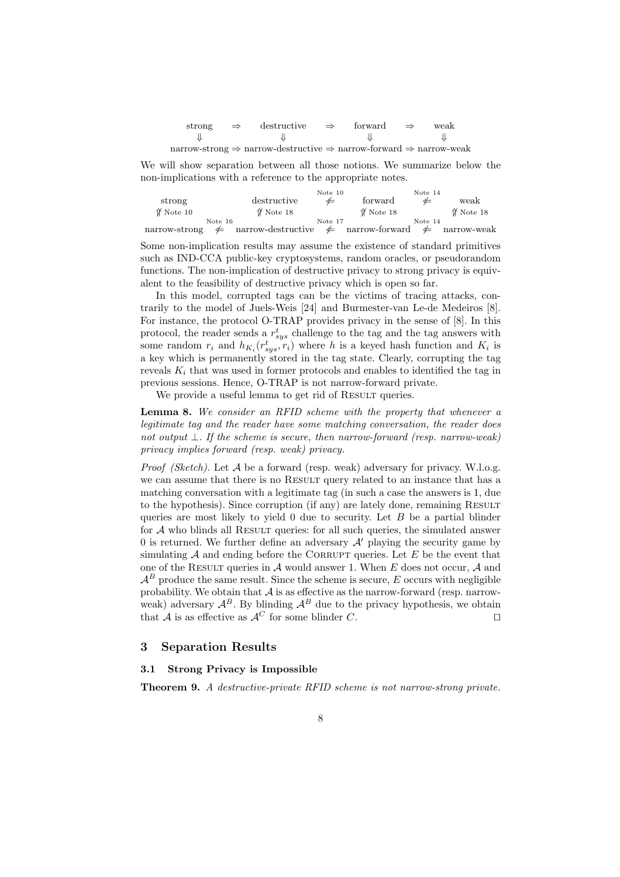| strong | $\Rightarrow$ | $\text{destructive} \Rightarrow$                                                                                              | forward $\Rightarrow$ | weak |
|--------|---------------|-------------------------------------------------------------------------------------------------------------------------------|-----------------------|------|
|        |               |                                                                                                                               |                       |      |
|        |               | $\text{narrow-strong} \Rightarrow \text{narrow-destructive} \Rightarrow \text{narrow-forward} \Rightarrow \text{narrow-weak}$ |                       |      |

We will show separation between all those notions. We summarize below the non-implications with a reference to the appropriate notes.

|                                  |                                                                                  | Note 10      |                                  | Note 14      |                     |
|----------------------------------|----------------------------------------------------------------------------------|--------------|----------------------------------|--------------|---------------------|
| strong                           | destructive                                                                      | $\leftarrow$ | forward                          | $\leftarrow$ | weak                |
| $\text{\textcircled{f}}$ Note 10 | $\frac{M}{10}$ Note 18                                                           |              | $\text{\textcircled{f}}$ Note 18 |              | $\text{\# Note 18}$ |
|                                  | Note 16                                                                          | Note 17      |                                  | Note 14      |                     |
|                                  | narrow-strong $\neq$ narrow-destructive $\neq$ narrow-forward $\neq$ narrow-weak |              |                                  |              |                     |

Some non-implication results may assume the existence of standard primitives such as IND-CCA public-key cryptosystems, random oracles, or pseudorandom functions. The non-implication of destructive privacy to strong privacy is equivalent to the feasibility of destructive privacy which is open so far.

In this model, corrupted tags can be the victims of tracing attacks, contrarily to the model of Juels-Weis [24] and Burmester-van Le-de Medeiros [8]. For instance, the protocol O-TRAP provides privacy in the sense of [8]. In this protocol, the reader sends a  $r_{sys}^t$  challenge to the tag and the tag answers with some random  $r_i$  and  $h_{K_i}(r_{sys}^t, r_i)$  where h is a keyed hash function and  $K_i$  is a key which is permanently stored in the tag state. Clearly, corrupting the tag reveals  $K_i$  that was used in former protocols and enables to identified the tag in previous sessions. Hence, O-TRAP is not narrow-forward private.

We provide a useful lemma to get rid of RESULT queries.

Lemma 8. We consider an RFID scheme with the property that whenever a legitimate tag and the reader have some matching conversation, the reader does not output  $\perp$ . If the scheme is secure, then narrow-forward (resp. narrow-weak) privacy implies forward (resp. weak) privacy.

*Proof (Sketch).* Let  $A$  be a forward (resp. weak) adversary for privacy. W.l.o.g. we can assume that there is no RESULT query related to an instance that has a matching conversation with a legitimate tag (in such a case the answers is 1, due to the hypothesis). Since corruption (if any) are lately done, remaining RESULT queries are most likely to yield  $0$  due to security. Let  $B$  be a partial blinder for  $A$  who blinds all RESULT queries: for all such queries, the simulated answer 0 is returned. We further define an adversary  $A'$  playing the security game by simulating  $A$  and ending before the CORRUPT queries. Let  $E$  be the event that one of the RESULT queries in  $A$  would answer 1. When  $E$  does not occur,  $A$  and  $\mathcal{A}^B$  produce the same result. Since the scheme is secure, E occurs with negligible probability. We obtain that  $A$  is as effective as the narrow-forward (resp. narrowweak) adversary  $\mathcal{A}^B$ . By blinding  $\mathcal{A}^B$  due to the privacy hypothesis, we obtain that A is as effective as  $\mathcal{A}^C$  for some blinder C.

### 3 Separation Results

### 3.1 Strong Privacy is Impossible

Theorem 9. A destructive-private RFID scheme is not narrow-strong private.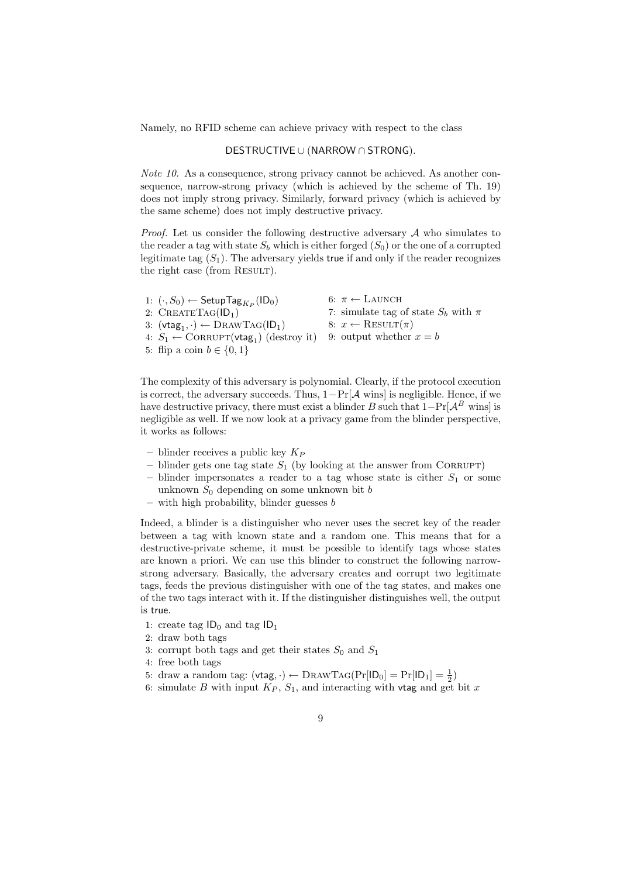Namely, no RFID scheme can achieve privacy with respect to the class

#### DESTRUCTIVE ∪ (NARROW ∩ STRONG).

Note 10. As a consequence, strong privacy cannot be achieved. As another consequence, narrow-strong privacy (which is achieved by the scheme of Th. 19) does not imply strong privacy. Similarly, forward privacy (which is achieved by the same scheme) does not imply destructive privacy.

*Proof.* Let us consider the following destructive adversary  $A$  who simulates to the reader a tag with state  $S_b$  which is either forged  $(S_0)$  or the one of a corrupted legitimate tag  $(S_1)$ . The adversary yields true if and only if the reader recognizes the right case (from RESULT).

| 1: $(\cdot, S_0) \leftarrow$ SetupTag <sub>K<sub>P</sub></sub> (ID <sub>0</sub> ) | 6: $\pi \leftarrow$ LAUNCH                |
|-----------------------------------------------------------------------------------|-------------------------------------------|
| 2: $CREATETAG(ID_1)$                                                              | 7: simulate tag of state $S_b$ with $\pi$ |
| 3: $(\text{vtag}_1, \cdot) \leftarrow \text{DRAWTAG}(\mathsf{ID}_1)$              | 8: $x \leftarrow \text{RESULT}(\pi)$      |
| 4: $S_1 \leftarrow \text{CORRUPT}(vtag_1)$ (destroy it)                           | 9: output whether $x = b$                 |
| 5: flip a coin $b \in \{0,1\}$                                                    |                                           |

The complexity of this adversary is polynomial. Clearly, if the protocol execution is correct, the adversary succeeds. Thus,  $1-\Pr[\mathcal{A}$  wins is negligible. Hence, if we have destructive privacy, there must exist a blinder B such that  $1-\Pr[A^B$  wins] is negligible as well. If we now look at a privacy game from the blinder perspective, it works as follows:

- blinder receives a public key  $K_P$
- blinder gets one tag state  $S_1$  (by looking at the answer from CORRUPT)
- blinder impersonates a reader to a tag whose state is either  $S_1$  or some unknown  $S_0$  depending on some unknown bit b
- $-$  with high probability, blinder guesses  $b$

Indeed, a blinder is a distinguisher who never uses the secret key of the reader between a tag with known state and a random one. This means that for a destructive-private scheme, it must be possible to identify tags whose states are known a priori. We can use this blinder to construct the following narrowstrong adversary. Basically, the adversary creates and corrupt two legitimate tags, feeds the previous distinguisher with one of the tag states, and makes one of the two tags interact with it. If the distinguisher distinguishes well, the output is true.

- 1: create tag  $ID_0$  and tag  $ID_1$
- 2: draw both tags
- 3: corrupt both tags and get their states  $S_0$  and  $S_1$
- 4: free both tags
- 5: draw a random tag:  $(\text{vtag}, \cdot) \leftarrow \text{DrawTag}(\Pr[\text{ID}_0] = \Pr[\text{ID}_1] = \frac{1}{2})$
- 6: simulate B with input  $K_P$ ,  $S_1$ , and interacting with vtag and get bit x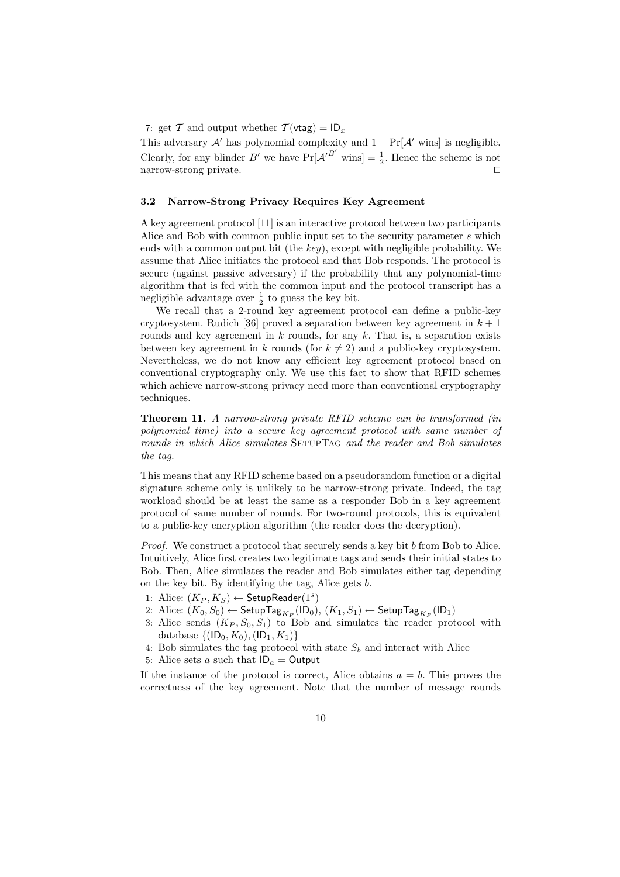7: get T and output whether  $T(\text{vtag}) = \text{ID}_x$ 

This adversary  $\mathcal{A}'$  has polynomial complexity and  $1 - \Pr[\mathcal{A}'$  wins] is negligible. Clearly, for any blinder B' we have  $Pr[\mathcal{A'}^{B'}$  wins $] = \frac{1}{2}$ . Hence the scheme is not narrow-strong private.  $\Box$ 

#### 3.2 Narrow-Strong Privacy Requires Key Agreement

A key agreement protocol [11] is an interactive protocol between two participants Alice and Bob with common public input set to the security parameter s which ends with a common output bit (the  $keu$ ), except with negligible probability. We assume that Alice initiates the protocol and that Bob responds. The protocol is secure (against passive adversary) if the probability that any polynomial-time algorithm that is fed with the common input and the protocol transcript has a negligible advantage over  $\frac{1}{2}$  to guess the key bit.

We recall that a 2-round key agreement protocol can define a public-key cryptosystem. Rudich [36] proved a separation between key agreement in  $k + 1$ rounds and key agreement in  $k$  rounds, for any  $k$ . That is, a separation exists between key agreement in k rounds (for  $k \neq 2$ ) and a public-key cryptosystem. Nevertheless, we do not know any efficient key agreement protocol based on conventional cryptography only. We use this fact to show that RFID schemes which achieve narrow-strong privacy need more than conventional cryptography techniques.

Theorem 11. A narrow-strong private RFID scheme can be transformed (in polynomial time) into a secure key agreement protocol with same number of rounds in which Alice simulates SETUPTAG and the reader and Bob simulates the tag.

This means that any RFID scheme based on a pseudorandom function or a digital signature scheme only is unlikely to be narrow-strong private. Indeed, the tag workload should be at least the same as a responder Bob in a key agreement protocol of same number of rounds. For two-round protocols, this is equivalent to a public-key encryption algorithm (the reader does the decryption).

Proof. We construct a protocol that securely sends a key bit b from Bob to Alice. Intuitively, Alice first creates two legitimate tags and sends their initial states to Bob. Then, Alice simulates the reader and Bob simulates either tag depending on the key bit. By identifying the tag, Alice gets b.

- 1: Alice:  $(K_P, K_S) \leftarrow$  SetupReader $(1<sup>s</sup>)$
- 2: Alice:  $(K_0, S_0) \leftarrow$  Setup $\mathsf{Tag}_{K_P}(\mathsf{ID}_0), (K_1, S_1) \leftarrow$  Setup $\mathsf{Tag}_{K_P}(\mathsf{ID}_1)$
- 3: Alice sends  $(K_P, S_0, S_1)$  to Bob and simulates the reader protocol with database  $\{ (ID_0, K_0), (ID_1, K_1) \}$
- 4: Bob simulates the tag protocol with state  $S_b$  and interact with Alice
- 5: Alice sets a such that  $ID_a = Output$

If the instance of the protocol is correct, Alice obtains  $a = b$ . This proves the correctness of the key agreement. Note that the number of message rounds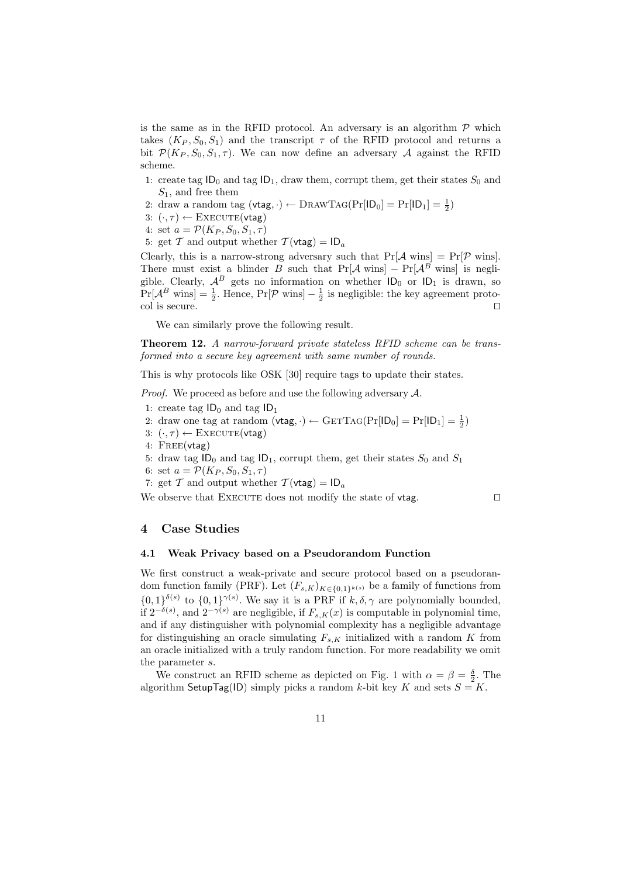is the same as in the RFID protocol. An adversary is an algorithm  $P$  which takes  $(K_P, S_0, S_1)$  and the transcript  $\tau$  of the RFID protocol and returns a bit  $\mathcal{P}(K_P, S_0, S_1, \tau)$ . We can now define an adversary A against the RFID scheme.

- 1: create tag  $ID_0$  and tag  $ID_1$ , draw them, corrupt them, get their states  $S_0$  and  $S_1$ , and free them
- 2: draw a random tag ( $\mathsf{vtag}, \cdot$ ) ← DRAWTAG( $\Pr[\mathsf{ID}_0] = \Pr[\mathsf{ID}_1] = \frac{1}{2}$ )
- 3:  $(\cdot, \tau) \leftarrow$  EXECUTE(vtag)
- 4: set  $a = \mathcal{P}(K_P, S_0, S_1, \tau)$
- 5: get  $\mathcal T$  and output whether  $\mathcal T(\mathsf{vtag}) = \mathsf{ID}_a$

Clearly, this is a narrow-strong adversary such that  $Pr[\mathcal{A} \text{ wins}] = Pr[\mathcal{P} \text{ wins}]$ . There must exist a blinder B such that  $Pr[\mathcal{A} \text{ wins}] - Pr[\mathcal{A}^B \text{ wins}]$  is negligible. Clearly,  $A^B$  gets no information on whether  $ID_0$  or  $ID_1$  is drawn, so  $Pr[\mathcal{A}^B$  wins] =  $\frac{1}{2}$ . Hence,  $Pr[\mathcal{P}$  wins] –  $\frac{1}{2}$  is negligible: the key agreement protocol is secure.  $\Box$ 

We can similarly prove the following result.

Theorem 12. A narrow-forward private stateless RFID scheme can be transformed into a secure key agreement with same number of rounds.

This is why protocols like OSK [30] require tags to update their states.

*Proof.* We proceed as before and use the following adversary  $A$ .

1: create tag  $ID_0$  and tag  $ID_1$ 

2: draw one tag at random  $(\text{vtag}, \cdot) \leftarrow \text{GETTag}(\Pr[\text{ID}_0] = \Pr[\text{ID}_1] = \frac{1}{2})$ 

- 3:  $(\cdot, \tau) \leftarrow$  EXECUTE(vtag)
- 4: Free(vtag)
- 5: draw tag  $ID_0$  and tag  $ID_1$ , corrupt them, get their states  $S_0$  and  $S_1$
- 6: set  $a = \mathcal{P}(K_P, S_0, S_1, \tau)$
- 7: get  $\mathcal T$  and output whether  $\mathcal T(\mathsf{vtag}) = \mathsf{ID}_a$

We observe that EXECUTE does not modify the state of vtag.  $\Box$ 

### 4 Case Studies

#### 4.1 Weak Privacy based on a Pseudorandom Function

We first construct a weak-private and secure protocol based on a pseudorandom function family (PRF). Let  $(F_{s,K})_{K\in\{0,1\}^{k(s)}}$  be a family of functions from  $\{0,1\}^{\delta(s)}$  to  $\{0,1\}^{\gamma(s)}$ . We say it is a PRF if  $k, \delta, \gamma$  are polynomially bounded, if  $2^{-\delta(s)}$ , and  $2^{-\gamma(s)}$  are negligible, if  $F_{s,K}(x)$  is computable in polynomial time, and if any distinguisher with polynomial complexity has a negligible advantage for distinguishing an oracle simulating  $F_{s,K}$  initialized with a random K from an oracle initialized with a truly random function. For more readability we omit the parameter s.

We construct an RFID scheme as depicted on Fig. 1 with  $\alpha = \beta = \frac{\delta}{2}$ . The algorithm SetupTag(ID) simply picks a random k-bit key K and sets  $S = K$ .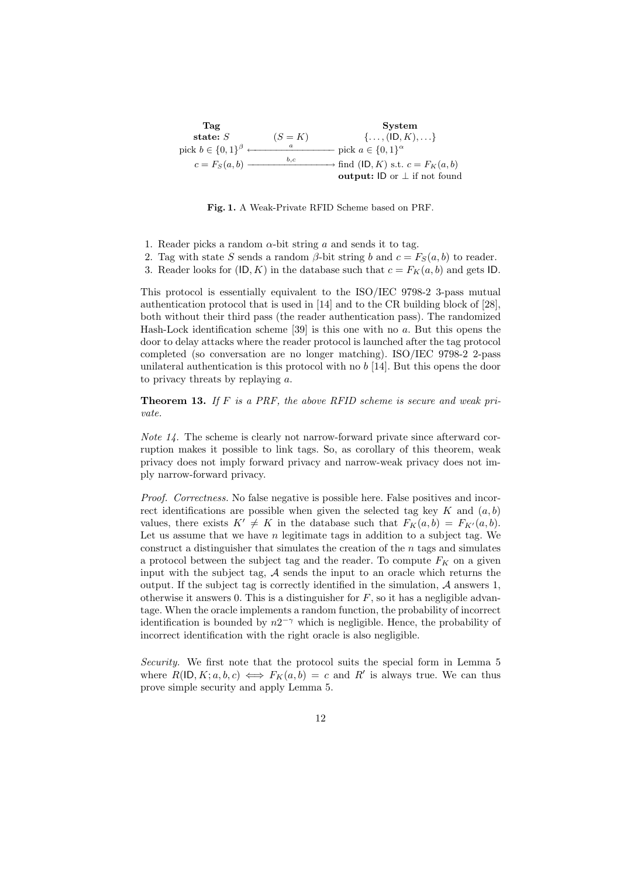Tag System<br>ate: S  $(S = K)$   $\{..., (ID, K),$ <br> $b \in \{0, 1\}^{\beta}$ state: S  $(S = K)$  {..., (ID, K), ...} pick  $b \in \{0,1\}^{\beta} \leftarrow$  $\beta$  ←  $\frac{a}{\sqrt{2\pi}}$  pick  $a \in \{0,1\}^{\alpha}$  $c = F<sub>S</sub>(a, b)$  – b,c find (ID, K) s.t.  $c = F_K(a, b)$ output: ID or  $\perp$  if not found

Fig. 1. A Weak-Private RFID Scheme based on PRF.

- 1. Reader picks a random  $\alpha$ -bit string a and sends it to tag.
- 2. Tag with state S sends a random  $\beta$ -bit string b and  $c = F_S(a, b)$  to reader.
- 3. Reader looks for  $(ID, K)$  in the database such that  $c = F_K(a, b)$  and gets ID.

This protocol is essentially equivalent to the ISO/IEC 9798-2 3-pass mutual authentication protocol that is used in [14] and to the CR building block of [28], both without their third pass (the reader authentication pass). The randomized Hash-Lock identification scheme [39] is this one with no a. But this opens the door to delay attacks where the reader protocol is launched after the tag protocol completed (so conversation are no longer matching). ISO/IEC 9798-2 2-pass unilateral authentication is this protocol with no  $b$  [14]. But this opens the door to privacy threats by replaying a.

**Theorem 13.** If  $F$  is a PRF, the above RFID scheme is secure and weak private.

Note 14. The scheme is clearly not narrow-forward private since afterward corruption makes it possible to link tags. So, as corollary of this theorem, weak privacy does not imply forward privacy and narrow-weak privacy does not imply narrow-forward privacy.

Proof. Correctness. No false negative is possible here. False positives and incorrect identifications are possible when given the selected tag key K and  $(a, b)$ values, there exists  $K' \neq K$  in the database such that  $F_K(a, b) = F_{K'}(a, b)$ . Let us assume that we have  $n$  legitimate tags in addition to a subject tag. We construct a distinguisher that simulates the creation of the  $n$  tags and simulates a protocol between the subject tag and the reader. To compute  $F_K$  on a given input with the subject tag,  $A$  sends the input to an oracle which returns the output. If the subject tag is correctly identified in the simulation,  $A$  answers 1, otherwise it answers 0. This is a distinguisher for  $F$ , so it has a negligible advantage. When the oracle implements a random function, the probability of incorrect identification is bounded by  $n2^{-\gamma}$  which is negligible. Hence, the probability of incorrect identification with the right oracle is also negligible.

Security. We first note that the protocol suits the special form in Lemma 5 where  $R(\mathsf{ID}, K; a, b, c) \iff F_K(a, b) = c$  and R' is always true. We can thus prove simple security and apply Lemma 5.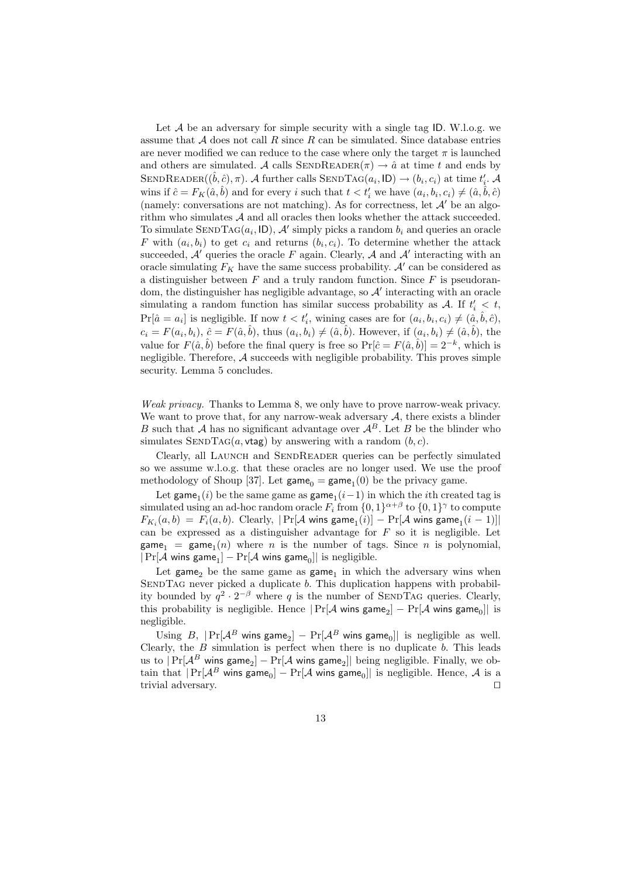Let  $A$  be an adversary for simple security with a single tag ID. W.l.o.g. we assume that  $A$  does not call  $R$  since  $R$  can be simulated. Since database entries are never modified we can reduce to the case where only the target  $\pi$  is launched and others are simulated. A calls  $\text{SENDREADER}(\pi) \rightarrow \hat{a}$  at time t and ends by SENDREADER $((\hat{b}, \hat{c}), \pi)$ . A further calls SENDTAG $(a_i, \mathsf{ID}) \to (b_i, c_i)$  at time  $t'_i$ . A wins if  $\hat{c} = F_K(\hat{a}, \hat{b})$  and for every i such that  $t < t'_i$  we have  $(a_i, b_i, c_i) \neq (\hat{a}, \hat{b}, \hat{c})$ (namely: conversations are not matching). As for correctness, let  $\mathcal{A}'$  be an algorithm who simulates  $A$  and all oracles then looks whether the attack succeeded. To simulate  $\text{SENDTAG}(a_i, \text{ID})$ , A' simply picks a random  $b_i$  and queries an oracle F with  $(a_i, b_i)$  to get  $c_i$  and returns  $(b_i, c_i)$ . To determine whether the attack succeeded,  $A'$  queries the oracle F again. Clearly, A and  $A'$  interacting with an oracle simulating  $F_K$  have the same success probability.  $\mathcal{A}'$  can be considered as a distinguisher between  $F$  and a truly random function. Since  $F$  is pseudorandom, the distinguisher has negligible advantage, so  $A'$  interacting with an oracle simulating a random function has similar success probability as A. If  $t_i' < t$ ,  $Pr[\hat{a} = a_i]$  is negligible. If now  $t < t'_i$ , wining cases are for  $(a_i, b_i, c_i) \neq (\hat{a}, \hat{b}, \hat{c})$ ,  $c_i = F(a_i, b_i), \ \hat{c} = F(\hat{a}, \hat{b}), \text{ thus } (a_i, b_i) \neq (\hat{a}, \hat{b}). \text{ However, if } (a_i, b_i) \neq (\hat{a}, \hat{b}), \text{ the }$ value for  $F(\hat{a}, \hat{b})$  before the final query is free so  $Pr[\hat{c} = F(\hat{a}, \hat{b})] = 2^{-k}$ , which is negligible. Therefore, A succeeds with negligible probability. This proves simple security. Lemma 5 concludes.

Weak privacy. Thanks to Lemma 8, we only have to prove narrow-weak privacy. We want to prove that, for any narrow-weak adversary  $A$ , there exists a blinder B such that A has no significant advantage over  $\mathcal{A}^B$ . Let B be the blinder who simulates  $\text{SENDTAG}(a, \text{vtag})$  by answering with a random  $(b, c)$ .

Clearly, all Launch and SendReader queries can be perfectly simulated so we assume w.l.o.g. that these oracles are no longer used. We use the proof methodology of Shoup [37]. Let  $\text{game}_0 = \text{game}_1(0)$  be the privacy game.

Let  $\mathsf{game}_1(i)$  be the same game as  $\mathsf{game}_1(i-1)$  in which the  $i$ th created tag is simulated using an ad-hoc random oracle  $F_i$  from  $\{0,1\}^{\alpha+\beta}$  to  $\{0,1\}^{\gamma}$  to compute  $F_{K_i}(a,b) = F_i(a,b)$ . Clearly,  $|\Pr[\mathcal{A}$  wins game $_1(i)] - \Pr[\mathcal{A}$  wins game $_1(i-1)]$ can be expressed as a distinguisher advantage for  $F$  so it is negligible. Let game<sub>1</sub> = game<sub>1</sub>(*n*) where *n* is the number of tags. Since *n* is polynomial,  $|\Pr[\mathcal{A}$  wins game $_1] - \Pr[\mathcal{A}$  wins game $_0]$  is negligible.

Let  $\mathsf{game}_2$  be the same game as  $\mathsf{game}_1$  in which the adversary wins when  $SENDTAG$  never picked a duplicate  $b$ . This duplication happens with probability bounded by  $q^2 \cdot 2^{-\beta}$  where q is the number of SENDTAG queries. Clearly, this probability is negligible. Hence  $|\Pr[\mathcal{A}$  wins game $_2]-\Pr[\mathcal{A}$  wins game $_0]|$  is negligible.

Using  $B$ ,  $|\Pr[\mathcal{A}^B$  wins game $_2] - \Pr[\mathcal{A}^B$  wins game $_0]$  is negligible as well. Clearly, the  $B$  simulation is perfect when there is no duplicate  $\check{b}$ . This leads us to  $|\Pr[\mathcal{A}^B$  wins game $_2]-\Pr[\mathcal{A}$  wins game $_2]|$  being negligible. Finally, we obtain that  $|\Pr[\mathcal{A}^B$  wins game $_0]-\Pr[\mathcal{A}$  wins game $_0]|$  is negligible. Hence,  $\mathcal{A}$  is a trivial adversary.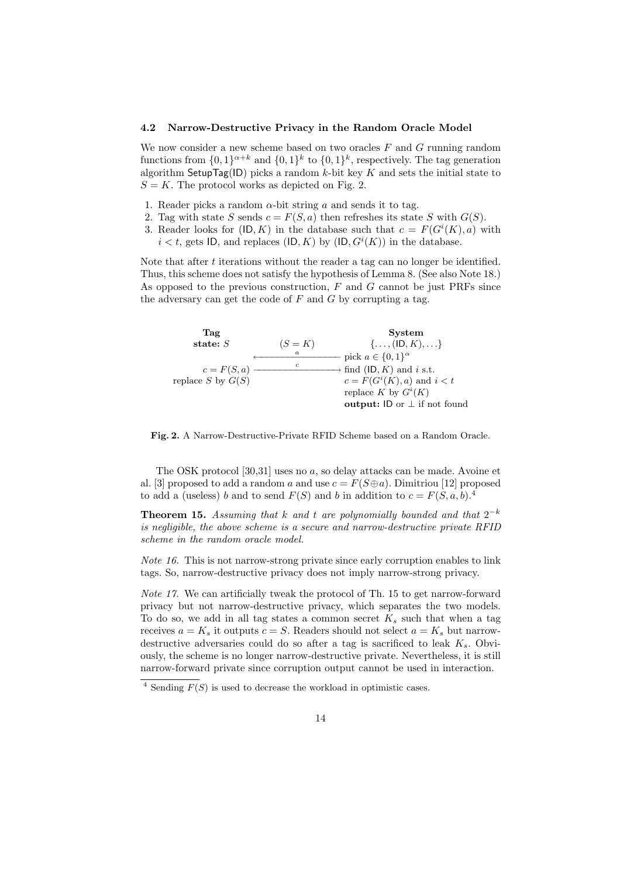#### 4.2 Narrow-Destructive Privacy in the Random Oracle Model

We now consider a new scheme based on two oracles  $F$  and  $G$  running random functions from  $\{0,1\}^{\alpha+k}$  and  $\{0,1\}^k$  to  $\{0,1\}^k$ , respectively. The tag generation algorithm SetupTag(ID) picks a random k-bit key  $K$  and sets the initial state to  $S = K$ . The protocol works as depicted on Fig. 2.

- 1. Reader picks a random  $\alpha$ -bit string a and sends it to tag.
- 2. Tag with state S sends  $c = F(S, a)$  then refreshes its state S with  $G(S)$ .
- 3. Reader looks for  $(\mathsf{ID}, K)$  in the database such that  $c = F(G^{i}(K), a)$  with  $i < t$ , gets ID, and replaces (ID, K) by (ID,  $G^{i}(K)$ ) in the database.

Note that after t iterations without the reader a tag can no longer be identified. Thus, this scheme does not satisfy the hypothesis of Lemma 8. (See also Note 18.) As opposed to the previous construction,  $F$  and  $G$  cannot be just PRFs since the adversary can get the code of  $F$  and  $G$  by corrupting a tag.



Fig. 2. A Narrow-Destructive-Private RFID Scheme based on a Random Oracle.

The OSK protocol [30,31] uses no a, so delay attacks can be made. Avoine et al. [3] proposed to add a random a and use  $c = F(S \oplus a)$ . Dimitriou [12] proposed to add a (useless) b and to send  $F(S)$  and b in addition to  $c = F(S, a, b)$ .<sup>4</sup>

**Theorem 15.** Assuming that k and t are polynomially bounded and that  $2^{-k}$ is negligible, the above scheme is a secure and narrow-destructive private RFID scheme in the random oracle model.

Note 16. This is not narrow-strong private since early corruption enables to link tags. So, narrow-destructive privacy does not imply narrow-strong privacy.

Note 17. We can artificially tweak the protocol of Th. 15 to get narrow-forward privacy but not narrow-destructive privacy, which separates the two models. To do so, we add in all tag states a common secret  $K_s$  such that when a tag receives  $a = K_s$  it outputs  $c = S$ . Readers should not select  $a = K_s$  but narrowdestructive adversaries could do so after a tag is sacrificed to leak  $K_s$ . Obviously, the scheme is no longer narrow-destructive private. Nevertheless, it is still narrow-forward private since corruption output cannot be used in interaction.

 $\frac{4}{4}$  Sending  $F(S)$  is used to decrease the workload in optimistic cases.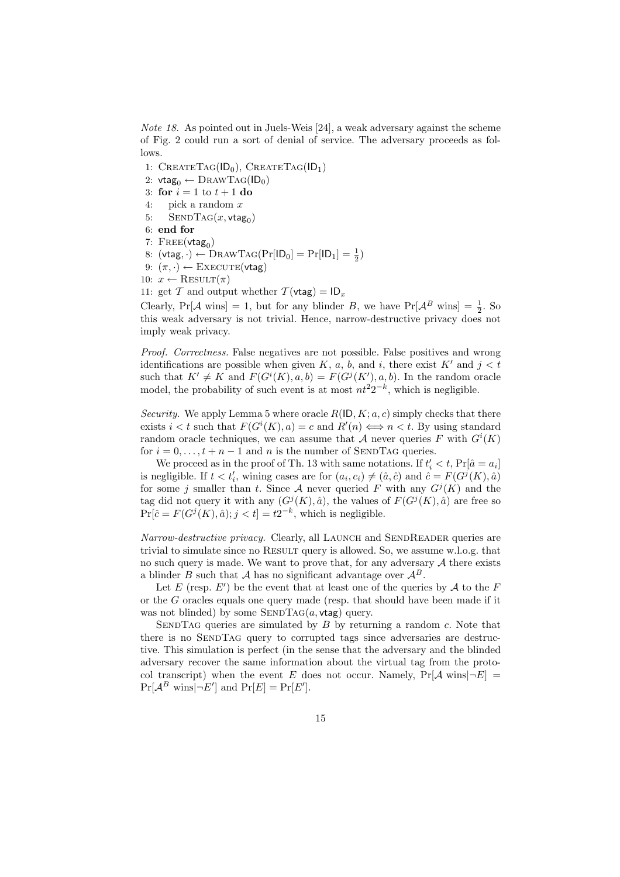Note 18. As pointed out in Juels-Weis [24], a weak adversary against the scheme of Fig. 2 could run a sort of denial of service. The adversary proceeds as follows.

1:  $C$ REATETAG( $ID_0$ ),  $C$ REATETAG( $ID_1$ )

2:  $vtag_0 \leftarrow \text{DRAWTAG}(\mathsf{ID}_0)$ 

- 3: for  $i = 1$  to  $t + 1$  do
- 4: pick a random x
- 5:  $\text{SENDTAG}(x, \text{vtag}_0)$
- 6: end for
- $7:$   $\rm{FREE}(vtag_0)$
- 8:  $(\text{vtag}, \cdot) \leftarrow \text{DRAWTAG}(\Pr[\text{ID}_0] = \Pr[\text{ID}_1] = \frac{1}{2})$
- 9:  $(\pi, \cdot) \leftarrow$  EXECUTE(vtag)
- 10:  $x \leftarrow \text{RESULT}(\pi)$

11: get T and output whether  $T(\text{vtag}) = \text{ID}_x$ 

Clearly,  $Pr[\mathcal{A} \text{ wins}] = 1$ , but for any blinder B, we have  $Pr[\mathcal{A}^B \text{ wins}] = \frac{1}{2}$ . So this weak adversary is not trivial. Hence, narrow-destructive privacy does not imply weak privacy.

Proof. Correctness. False negatives are not possible. False positives and wrong identifications are possible when given K, a, b, and i, there exist K' and  $j < t$ such that  $K' \neq K$  and  $F(G^{i}(K), a, b) = F(G^{j}(K'), a, b)$ . In the random oracle model, the probability of such event is at most  $nt^22^{-k}$ , which is negligible.

Security. We apply Lemma 5 where oracle  $R(\mathsf{ID}, K; a, c)$  simply checks that there exists  $i < t$  such that  $F(G^{i}(K), a) = c$  and  $R'(n) \iff n < t$ . By using standard random oracle techniques, we can assume that A never queries F with  $G^{i}(K)$ for  $i = 0, \ldots, t + n - 1$  and n is the number of SENDTAG queries.

We proceed as in the proof of Th. 13 with same notations. If  $t_i' < t$ ,  $Pr[\hat{a} = a_i]$ is negligible. If  $t < t'_i$ , wining cases are for  $(a_i, c_i) \neq (\hat{a}, \hat{c})$  and  $\hat{c} = F(G^j(K), \hat{a})$ for some j smaller than t. Since A never queried F with any  $G^{j}(K)$  and the tag did not query it with any  $(G^{j}(K), \hat{a})$ , the values of  $F(G^{j}(K), \hat{a})$  are free so  $\Pr[\hat{c} = F(G^j(K), \hat{a}); j < t] = t2^{-k}$ , which is negligible.

Narrow-destructive privacy. Clearly, all LAUNCH and SENDREADER queries are trivial to simulate since no RESULT query is allowed. So, we assume w.l.o.g. that no such query is made. We want to prove that, for any adversary  $A$  there exists a blinder B such that A has no significant advantage over  $\mathcal{A}^B$ .

Let  $E$  (resp.  $E'$ ) be the event that at least one of the queries by  $A$  to the  $F$ or the G oracles equals one query made (resp. that should have been made if it was not blinded) by some  $\text{SENDTAG}(a, \text{vtag})$  query.

SENDTAG queries are simulated by  $B$  by returning a random  $c$ . Note that there is no SENDTAG query to corrupted tags since adversaries are destructive. This simulation is perfect (in the sense that the adversary and the blinded adversary recover the same information about the virtual tag from the protocol transcript) when the event E does not occur. Namely,  $Pr[\mathcal{A}$  wins $\neg E]$  =  $Pr[\mathcal{A}^B$  wins $|\neg E'|$  and  $Pr[E] = Pr[E']$ .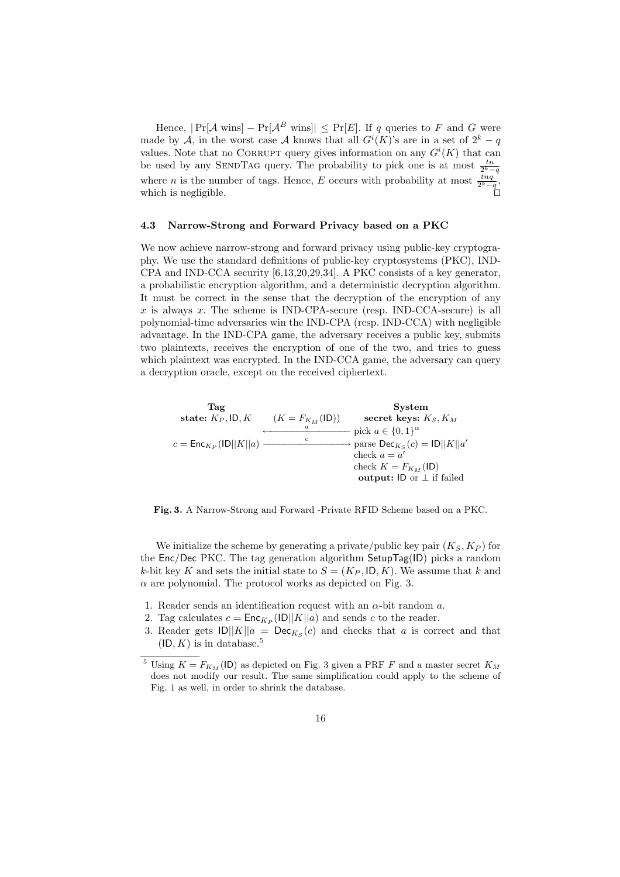Hence,  $|\Pr[\mathcal{A} \text{ wins}] - \Pr[\mathcal{A}^B \text{ wins}]| \leq \Pr[E]$ . If q queries to F and G were made by A, in the worst case A knows that all  $G^{i}(K)$ 's are in a set of  $2^{k} - q$ values. Note that no CORRUPT query gives information on any  $G^{i}(K)$  that can be used by any SENDTAG query. The probability to pick one is at most  $\frac{tn}{2^k-q}$ , where *n* is the number of tags. Hence, *E* occurs with probability at most  $\frac{tnq}{2^k-q}$ , which is negligible.  $\Box$ 

#### 4.3 Narrow-Strong and Forward Privacy based on a PKC

We now achieve narrow-strong and forward privacy using public-key cryptography. We use the standard definitions of public-key cryptosystems (PKC), IND-CPA and IND-CCA security [6,13,20,29,34]. A PKC consists of a key generator, a probabilistic encryption algorithm, and a deterministic decryption algorithm. It must be correct in the sense that the decryption of the encryption of any x is always x. The scheme is IND-CPA-secure (resp. IND-CCA-secure) is all polynomial-time adversaries win the IND-CPA (resp. IND-CCA) with negligible advantage. In the IND-CPA game, the adversary receives a public key, submits two plaintexts, receives the encryption of one of the two, and tries to guess which plaintext was encrypted. In the IND-CCA game, the adversary can query a decryption oracle, except on the received ciphertext.

Tag System state:  $K_P$ , ID,  $K$  ( $K = F_{K_M}(\mathsf{ID})$ ) secret keys:  $K_S$ ,  $K_M$  $\leftarrow$ <sup> $a \cdots$ </sup> pick  $a \in \{0,1\}^{\alpha}$  $c = \mathsf{Enc}_{K_P}(\mathsf{ID}||K||a) \xrightarrow{c} \mathsf{parse}\ \mathsf{Dec}_{K_S}(c) = \mathsf{ID}||K||a'$ check  $a = a^{\tilde{a}}$ check  $K = F_{K_M}(\mathsf{ID})$ output: ID or  $\perp$  if failed

Fig. 3. A Narrow-Strong and Forward -Private RFID Scheme based on a PKC.

We initialize the scheme by generating a private/public key pair  $(K_S, K_P)$  for the Enc/Dec PKC. The tag generation algorithm SetupTag(ID) picks a random k-bit key K and sets the initial state to  $S = (K_P, \mathsf{ID}, K)$ . We assume that k and  $\alpha$  are polynomial. The protocol works as depicted on Fig. 3.

- 1. Reader sends an identification request with an  $\alpha$ -bit random a.
- 2. Tag calculates  $c = \mathsf{Enc}_{K_P}(\mathsf{ID}||K||a)$  and sends c to the reader.
- 3. Reader gets  $|D||K||a = \text{Dec}_{K_S}(c)$  and checks that a is correct and that  $(ID, K)$  is in database.<sup>5</sup>

<sup>&</sup>lt;sup>5</sup> Using  $K = F_{K_M}(\mathsf{ID})$  as depicted on Fig. 3 given a PRF F and a master secret  $K_M$ does not modify our result. The same simplification could apply to the scheme of Fig. 1 as well, in order to shrink the database.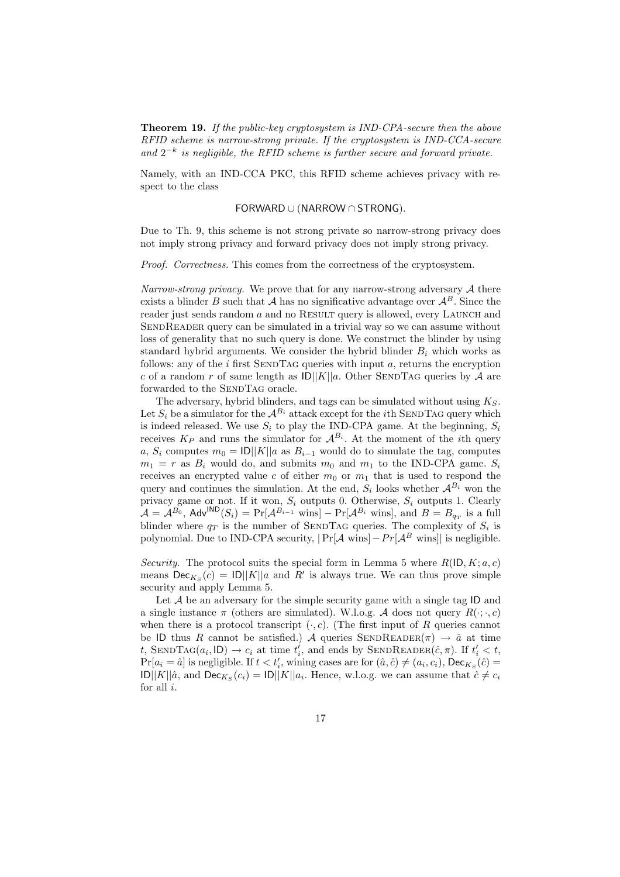Theorem 19. If the public-key cryptosystem is IND-CPA-secure then the above RFID scheme is narrow-strong private. If the cryptosystem is IND-CCA-secure and  $2^{-k}$  is negligible, the RFID scheme is further secure and forward private.

Namely, with an IND-CCA PKC, this RFID scheme achieves privacy with respect to the class

#### FORWARD ∪ (NARROW ∩ STRONG).

Due to Th. 9, this scheme is not strong private so narrow-strong privacy does not imply strong privacy and forward privacy does not imply strong privacy.

Proof. Correctness. This comes from the correctness of the cryptosystem.

Narrow-strong privacy. We prove that for any narrow-strong adversary  $A$  there exists a blinder B such that A has no significative advantage over  $A^B$ . Since the reader just sends random  $a$  and no RESULT query is allowed, every LAUNCH and SendReader query can be simulated in a trivial way so we can assume without loss of generality that no such query is done. We construct the blinder by using standard hybrid arguments. We consider the hybrid blinder  $B_i$  which works as follows: any of the  $i$  first SENDTAG queries with input  $a$ , returns the encryption c of a random r of same length as  $|D||K||a$ . Other SENDTAG queries by A are forwarded to the SENDTAG oracle.

The adversary, hybrid blinders, and tags can be simulated without using  $K_S$ . Let  $S_i$  be a simulator for the  $\mathcal{A}^{B_i}$  attack except for the *i*th SENDTAG query which is indeed released. We use  $S_i$  to play the IND-CPA game. At the beginning,  $S_i$ receives  $K_P$  and runs the simulator for  $\mathcal{A}^{B_i}$ . At the moment of the *i*th query a,  $S_i$  computes  $m_0 = |D||K||a$  as  $B_{i-1}$  would do to simulate the tag, computes  $m_1 = r$  as  $B_i$  would do, and submits  $m_0$  and  $m_1$  to the IND-CPA game.  $S_i$ receives an encrypted value c of either  $m_0$  or  $m_1$  that is used to respond the query and continues the simulation. At the end,  $S_i$  looks whether  $\mathcal{A}^{B_i}$  won the privacy game or not. If it won,  $S_i$  outputs 0. Otherwise,  $S_i$  outputs 1. Clearly  $\mathcal{A} = \mathcal{A}^{B_0}$ , Adv<sup>IND</sup> $(S_i) = \Pr[\mathcal{A}^{B_{i-1}} \text{ wins}] - \Pr[\mathcal{A}^{B_i} \text{ wins}]$ , and  $B = B_{q_T}$  is a full blinder where  $q_T$  is the number of SENDTAG queries. The complexity of  $S_i$  is polynomial. Due to IND-CPA security,  $|Pr[\mathcal{A} \text{ wins}] - Pr[\mathcal{A}^B \text{ wins}]|$  is negligible.

Security. The protocol suits the special form in Lemma 5 where  $R(\mathsf{ID}, K; a, c)$ means  $\text{Dec}_{K_S}(c) = |D||K||a$  and R' is always true. We can thus prove simple security and apply Lemma 5.

Let  $A$  be an adversary for the simple security game with a single tag ID and a single instance  $\pi$  (others are simulated). W.l.o.g. A does not query  $R(\cdot;\cdot,c)$ when there is a protocol transcript  $(·, c)$ . (The first input of R queries cannot be ID thus R cannot be satisfied.) A queries  $\text{SENDREADER}(\pi) \rightarrow \hat{a}$  at time t, SENDTAG $(a_i, \mathsf{ID}) \rightarrow c_i$  at time  $t'_i$ , and ends by SENDREADER $(\hat{c}, \pi)$ . If  $t'_i < t$ ,  $Pr[a_i = \hat{a}]$  is negligible. If  $t < t'_i$ , wining cases are for  $(\hat{a}, \hat{c}) \neq (a_i, c_i)$ ,  $Dec_{K_S}(\hat{c})$  $\text{ID}||K||\hat{a}$ , and  $\text{Dec}_{K_S}(c_i) = \text{ID}||K||a_i$ . Hence, w.l.o.g. we can assume that  $\hat{c} \neq c_i$ for all  $i$ .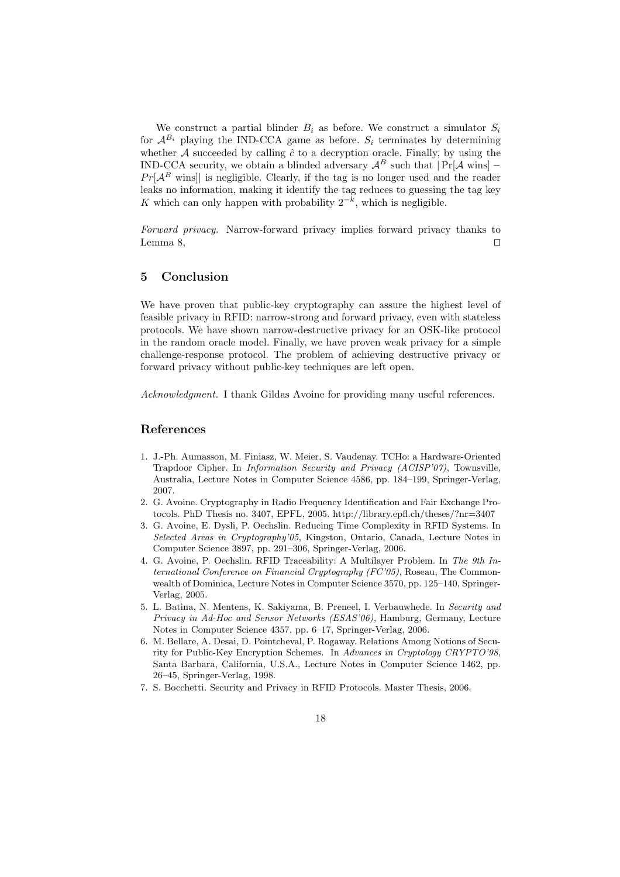We construct a partial blinder  $B_i$  as before. We construct a simulator  $S_i$ for  $\mathcal{A}^{B_i}$  playing the IND-CCA game as before.  $S_i$  terminates by determining whether  $A$  succeeded by calling  $\hat{c}$  to a decryption oracle. Finally, by using the IND-CCA security, we obtain a blinded adversary  $\mathcal{A}^B$  such that  $|Pr[\mathcal{A}$  wins $] Pr[\mathcal{A}^B$  wins|| is negligible. Clearly, if the tag is no longer used and the reader leaks no information, making it identify the tag reduces to guessing the tag key K which can only happen with probability  $2^{-k}$ , which is negligible.

Forward privacy. Narrow-forward privacy implies forward privacy thanks to Lemma 8,  $\Box$ 

## 5 Conclusion

We have proven that public-key cryptography can assure the highest level of feasible privacy in RFID: narrow-strong and forward privacy, even with stateless protocols. We have shown narrow-destructive privacy for an OSK-like protocol in the random oracle model. Finally, we have proven weak privacy for a simple challenge-response protocol. The problem of achieving destructive privacy or forward privacy without public-key techniques are left open.

Acknowledgment. I thank Gildas Avoine for providing many useful references.

### References

- 1. J.-Ph. Aumasson, M. Finiasz, W. Meier, S. Vaudenay. TCHo: a Hardware-Oriented Trapdoor Cipher. In Information Security and Privacy (ACISP'07), Townsville, Australia, Lecture Notes in Computer Science 4586, pp. 184–199, Springer-Verlag, 2007.
- 2. G. Avoine. Cryptography in Radio Frequency Identification and Fair Exchange Protocols. PhD Thesis no. 3407, EPFL, 2005. http://library.epfl.ch/theses/?nr=3407
- 3. G. Avoine, E. Dysli, P. Oechslin. Reducing Time Complexity in RFID Systems. In Selected Areas in Cryptography'05, Kingston, Ontario, Canada, Lecture Notes in Computer Science 3897, pp. 291–306, Springer-Verlag, 2006.
- 4. G. Avoine, P. Oechslin. RFID Traceability: A Multilayer Problem. In The 9th International Conference on Financial Cryptography (FC'05), Roseau, The Commonwealth of Dominica, Lecture Notes in Computer Science 3570, pp. 125–140, Springer-Verlag, 2005.
- 5. L. Batina, N. Mentens, K. Sakiyama, B. Preneel, I. Verbauwhede. In Security and Privacy in Ad-Hoc and Sensor Networks (ESAS'06), Hamburg, Germany, Lecture Notes in Computer Science 4357, pp. 6–17, Springer-Verlag, 2006.
- 6. M. Bellare, A. Desai, D. Pointcheval, P. Rogaway. Relations Among Notions of Security for Public-Key Encryption Schemes. In Advances in Cryptology CRYPTO'98, Santa Barbara, California, U.S.A., Lecture Notes in Computer Science 1462, pp. 26–45, Springer-Verlag, 1998.
- 7. S. Bocchetti. Security and Privacy in RFID Protocols. Master Thesis, 2006.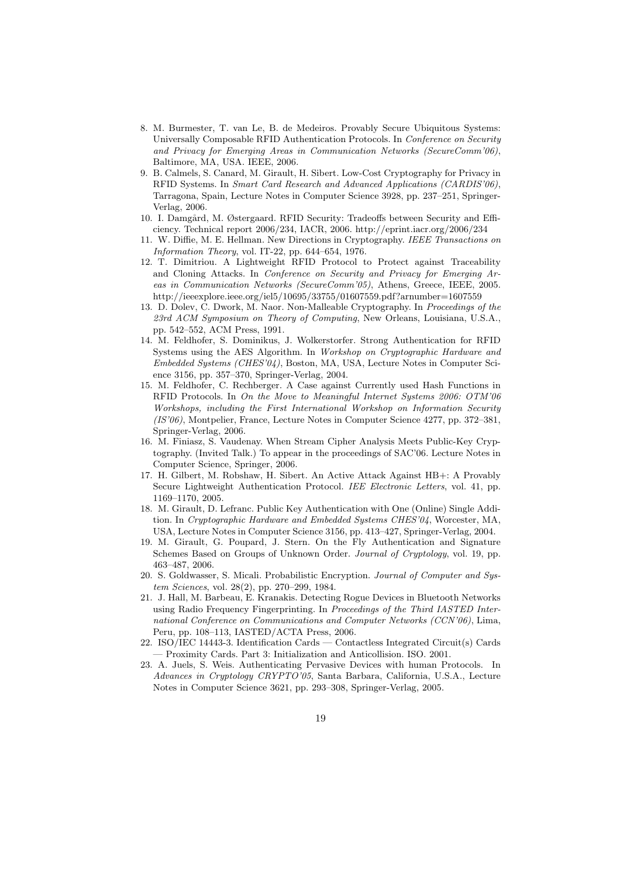- 8. M. Burmester, T. van Le, B. de Medeiros. Provably Secure Ubiquitous Systems: Universally Composable RFID Authentication Protocols. In Conference on Security and Privacy for Emerging Areas in Communication Networks (SecureComm'06), Baltimore, MA, USA. IEEE, 2006.
- 9. B. Calmels, S. Canard, M. Girault, H. Sibert. Low-Cost Cryptography for Privacy in RFID Systems. In Smart Card Research and Advanced Applications (CARDIS'06), Tarragona, Spain, Lecture Notes in Computer Science 3928, pp. 237–251, Springer-Verlag, 2006.
- 10. I. Damgård, M. Østergaard. RFID Security: Tradeoffs between Security and Efficiency. Technical report 2006/234, IACR, 2006. http://eprint.iacr.org/2006/234
- 11. W. Diffie, M. E. Hellman. New Directions in Cryptography. IEEE Transactions on Information Theory, vol. IT-22, pp. 644–654, 1976.
- 12. T. Dimitriou. A Lightweight RFID Protocol to Protect against Traceability and Cloning Attacks. In Conference on Security and Privacy for Emerging Areas in Communication Networks (SecureComm'05), Athens, Greece, IEEE, 2005. http://ieeexplore.ieee.org/iel5/10695/33755/01607559.pdf?arnumber=1607559
- 13. D. Dolev, C. Dwork, M. Naor. Non-Malleable Cryptography. In Proceedings of the 23rd ACM Symposium on Theory of Computing, New Orleans, Louisiana, U.S.A., pp. 542–552, ACM Press, 1991.
- 14. M. Feldhofer, S. Dominikus, J. Wolkerstorfer. Strong Authentication for RFID Systems using the AES Algorithm. In Workshop on Cryptographic Hardware and Embedded Systems (CHES'04), Boston, MA, USA, Lecture Notes in Computer Science 3156, pp. 357–370, Springer-Verlag, 2004.
- 15. M. Feldhofer, C. Rechberger. A Case against Currently used Hash Functions in RFID Protocols. In On the Move to Meaningful Internet Systems 2006: OTM'06 Workshops, including the First International Workshop on Information Security (IS'06), Montpelier, France, Lecture Notes in Computer Science 4277, pp. 372–381, Springer-Verlag, 2006.
- 16. M. Finiasz, S. Vaudenay. When Stream Cipher Analysis Meets Public-Key Cryptography. (Invited Talk.) To appear in the proceedings of SAC'06. Lecture Notes in Computer Science, Springer, 2006.
- 17. H. Gilbert, M. Robshaw, H. Sibert. An Active Attack Against HB+: A Provably Secure Lightweight Authentication Protocol. IEE Electronic Letters, vol. 41, pp. 1169–1170, 2005.
- 18. M. Girault, D. Lefranc. Public Key Authentication with One (Online) Single Addition. In Cryptographic Hardware and Embedded Systems CHES'04, Worcester, MA, USA, Lecture Notes in Computer Science 3156, pp. 413–427, Springer-Verlag, 2004.
- 19. M. Girault, G. Poupard, J. Stern. On the Fly Authentication and Signature Schemes Based on Groups of Unknown Order. Journal of Cryptology, vol. 19, pp. 463–487, 2006.
- 20. S. Goldwasser, S. Micali. Probabilistic Encryption. Journal of Computer and System Sciences, vol. 28(2), pp. 270–299, 1984.
- 21. J. Hall, M. Barbeau, E. Kranakis. Detecting Rogue Devices in Bluetooth Networks using Radio Frequency Fingerprinting. In Proceedings of the Third IASTED International Conference on Communications and Computer Networks (CCN'06), Lima, Peru, pp. 108–113, IASTED/ACTA Press, 2006.
- 22. ISO/IEC 14443-3. Identification Cards Contactless Integrated Circuit(s) Cards — Proximity Cards. Part 3: Initialization and Anticollision. ISO. 2001.
- 23. A. Juels, S. Weis. Authenticating Pervasive Devices with human Protocols. In Advances in Cryptology CRYPTO'05, Santa Barbara, California, U.S.A., Lecture Notes in Computer Science 3621, pp. 293–308, Springer-Verlag, 2005.